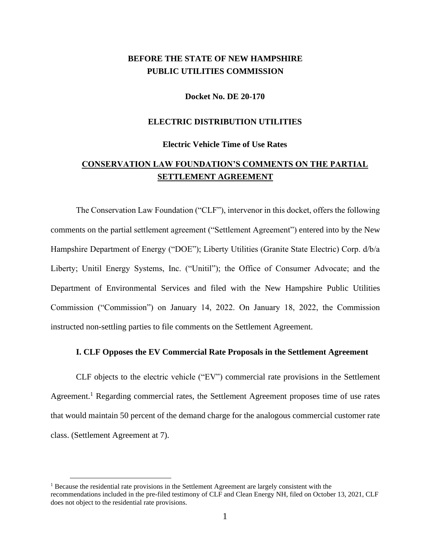## **BEFORE THE STATE OF NEW HAMPSHIRE PUBLIC UTILITIES COMMISSION**

#### **Docket No. DE 20-170**

### **ELECTRIC DISTRIBUTION UTILITIES**

#### **Electric Vehicle Time of Use Rates**

## **CONSERVATION LAW FOUNDATION'S COMMENTS ON THE PARTIAL SETTLEMENT AGREEMENT**

The Conservation Law Foundation ("CLF"), intervenor in this docket, offers the following comments on the partial settlement agreement ("Settlement Agreement") entered into by the New Hampshire Department of Energy ("DOE"); Liberty Utilities (Granite State Electric) Corp. d/b/a Liberty; Unitil Energy Systems, Inc. ("Unitil"); the Office of Consumer Advocate; and the Department of Environmental Services and filed with the New Hampshire Public Utilities Commission ("Commission") on January 14, 2022. On January 18, 2022, the Commission instructed non-settling parties to file comments on the Settlement Agreement.

## **I. CLF Opposes the EV Commercial Rate Proposals in the Settlement Agreement**

CLF objects to the electric vehicle ("EV") commercial rate provisions in the Settlement Agreement.<sup>1</sup> Regarding commercial rates, the Settlement Agreement proposes time of use rates that would maintain 50 percent of the demand charge for the analogous commercial customer rate class. (Settlement Agreement at 7).

<sup>&</sup>lt;sup>1</sup> Because the residential rate provisions in the Settlement Agreement are largely consistent with the recommendations included in the pre-filed testimony of CLF and Clean Energy NH, filed on October 13, 2021, CLF does not object to the residential rate provisions.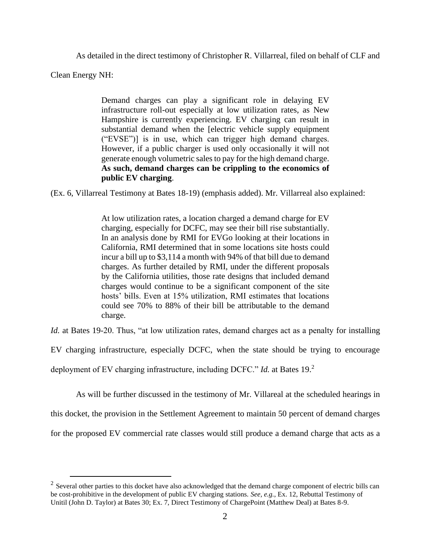As detailed in the direct testimony of Christopher R. Villarreal, filed on behalf of CLF and

Clean Energy NH:

Demand charges can play a significant role in delaying EV infrastructure roll-out especially at low utilization rates, as New Hampshire is currently experiencing. EV charging can result in substantial demand when the [electric vehicle supply equipment ("EVSE")] is in use, which can trigger high demand charges. However, if a public charger is used only occasionally it will not generate enough volumetric sales to pay for the high demand charge. **As such, demand charges can be crippling to the economics of public EV charging**.

(Ex. 6, Villarreal Testimony at Bates 18-19) (emphasis added). Mr. Villarreal also explained:

At low utilization rates, a location charged a demand charge for EV charging, especially for DCFC, may see their bill rise substantially. In an analysis done by RMI for EVGo looking at their locations in California, RMI determined that in some locations site hosts could incur a bill up to \$3,114 a month with 94% of that bill due to demand charges. As further detailed by RMI, under the different proposals by the California utilities, those rate designs that included demand charges would continue to be a significant component of the site hosts' bills. Even at 15% utilization, RMI estimates that locations could see 70% to 88% of their bill be attributable to the demand charge.

*Id.* at Bates 19-20. Thus, "at low utilization rates, demand charges act as a penalty for installing

EV charging infrastructure, especially DCFC, when the state should be trying to encourage

deployment of EV charging infrastructure, including DCFC." *Id.* at Bates 19.<sup>2</sup>

As will be further discussed in the testimony of Mr. Villareal at the scheduled hearings in

this docket, the provision in the Settlement Agreement to maintain 50 percent of demand charges

for the proposed EV commercial rate classes would still produce a demand charge that acts as a

 $2$  Several other parties to this docket have also acknowledged that the demand charge component of electric bills can be cost-prohibitive in the development of public EV charging stations. *See, e.g.*, Ex. 12, Rebuttal Testimony of Unitil (John D. Taylor) at Bates 30; Ex. 7, Direct Testimony of ChargePoint (Matthew Deal) at Bates 8-9.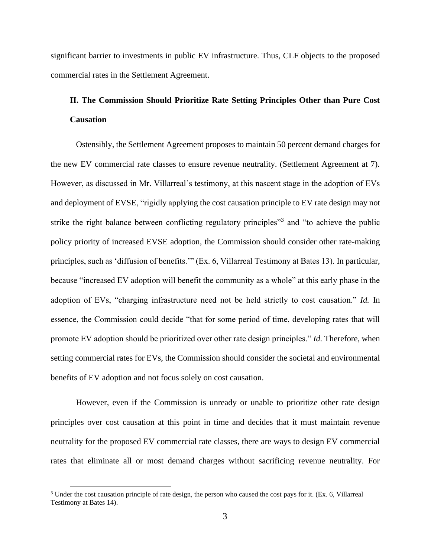significant barrier to investments in public EV infrastructure. Thus, CLF objects to the proposed commercial rates in the Settlement Agreement.

# **II. The Commission Should Prioritize Rate Setting Principles Other than Pure Cost Causation**

Ostensibly, the Settlement Agreement proposes to maintain 50 percent demand charges for the new EV commercial rate classes to ensure revenue neutrality. (Settlement Agreement at 7). However, as discussed in Mr. Villarreal's testimony, at this nascent stage in the adoption of EVs and deployment of EVSE, "rigidly applying the cost causation principle to EV rate design may not strike the right balance between conflicting regulatory principles"<sup>3</sup> and "to achieve the public policy priority of increased EVSE adoption, the Commission should consider other rate-making principles, such as 'diffusion of benefits.'" (Ex. 6, Villarreal Testimony at Bates 13). In particular, because "increased EV adoption will benefit the community as a whole" at this early phase in the adoption of EVs, "charging infrastructure need not be held strictly to cost causation." *Id.* In essence, the Commission could decide "that for some period of time, developing rates that will promote EV adoption should be prioritized over other rate design principles." *Id.* Therefore, when setting commercial rates for EVs, the Commission should consider the societal and environmental benefits of EV adoption and not focus solely on cost causation.

However, even if the Commission is unready or unable to prioritize other rate design principles over cost causation at this point in time and decides that it must maintain revenue neutrality for the proposed EV commercial rate classes, there are ways to design EV commercial rates that eliminate all or most demand charges without sacrificing revenue neutrality. For

<sup>3</sup> Under the cost causation principle of rate design, the person who caused the cost pays for it. (Ex. 6, Villarreal Testimony at Bates 14).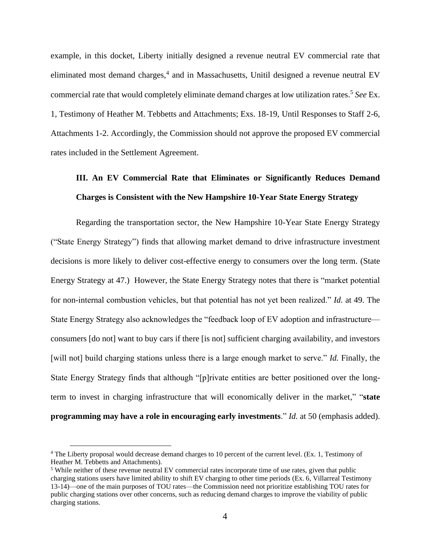example, in this docket, Liberty initially designed a revenue neutral EV commercial rate that eliminated most demand charges, 4 and in Massachusetts, Unitil designed a revenue neutral EV commercial rate that would completely eliminate demand charges at low utilization rates.<sup>5</sup> *See* Ex. 1, Testimony of Heather M. Tebbetts and Attachments; Exs. 18-19, Until Responses to Staff 2-6, Attachments 1-2. Accordingly, the Commission should not approve the proposed EV commercial rates included in the Settlement Agreement.

# **III. An EV Commercial Rate that Eliminates or Significantly Reduces Demand Charges is Consistent with the New Hampshire 10-Year State Energy Strategy**

Regarding the transportation sector, the New Hampshire 10-Year State Energy Strategy ("State Energy Strategy") finds that allowing market demand to drive infrastructure investment decisions is more likely to deliver cost-effective energy to consumers over the long term. (State Energy Strategy at 47.) However, the State Energy Strategy notes that there is "market potential for non-internal combustion vehicles, but that potential has not yet been realized." *Id.* at 49. The State Energy Strategy also acknowledges the "feedback loop of EV adoption and infrastructure consumers [do not] want to buy cars if there [is not] sufficient charging availability, and investors [will not] build charging stations unless there is a large enough market to serve." *Id.* Finally, the State Energy Strategy finds that although "[p]rivate entities are better positioned over the longterm to invest in charging infrastructure that will economically deliver in the market," "**state programming may have a role in encouraging early investments**." *Id.* at 50 (emphasis added).

<sup>4</sup> The Liberty proposal would decrease demand charges to 10 percent of the current level. (Ex. 1, Testimony of Heather M. Tebbetts and Attachments).

<sup>5</sup> While neither of these revenue neutral EV commercial rates incorporate time of use rates, given that public charging stations users have limited ability to shift EV charging to other time periods (Ex. 6, Villarreal Testimony 13-14)—one of the main purposes of TOU rates—the Commission need not prioritize establishing TOU rates for public charging stations over other concerns, such as reducing demand charges to improve the viability of public charging stations.